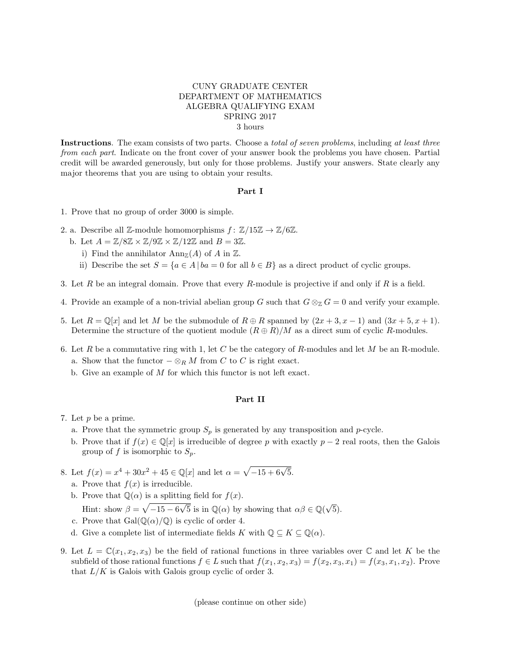## CUNY GRADUATE CENTER DEPARTMENT OF MATHEMATICS ALGEBRA QUALIFYING EXAM SPRING 2017 3 hours

Instructions. The exam consists of two parts. Choose a *total of seven problems*, including at least three from each part. Indicate on the front cover of your answer book the problems you have chosen. Partial credit will be awarded generously, but only for those problems. Justify your answers. State clearly any major theorems that you are using to obtain your results.

## Part I

- 1. Prove that no group of order 3000 is simple.
- 2. a. Describe all Z-module homomorphisms  $f: \mathbb{Z}/15\mathbb{Z} \to \mathbb{Z}/6\mathbb{Z}$ .
	- b. Let  $A = \mathbb{Z}/8\mathbb{Z} \times \mathbb{Z}/9\mathbb{Z} \times \mathbb{Z}/12\mathbb{Z}$  and  $B = 3\mathbb{Z}$ .
		- i) Find the annihilator  $\text{Ann}_{\mathbb{Z}}(A)$  of A in  $\mathbb{Z}$ .
		- ii) Describe the set  $S = \{a \in A \mid ba = 0 \text{ for all } b \in B\}$  as a direct product of cyclic groups.
- 3. Let R be an integral domain. Prove that every R-module is projective if and only if R is a field.
- 4. Provide an example of a non-trivial abelian group G such that  $G \otimes_{\mathbb{Z}} G = 0$  and verify your example.
- 5. Let  $R = \mathbb{Q}[x]$  and let M be the submodule of  $R \oplus R$  spanned by  $(2x + 3, x 1)$  and  $(3x + 5, x + 1)$ . Determine the structure of the quotient module  $(R \oplus R)/M$  as a direct sum of cyclic R-modules.
- 6. Let R be a commutative ring with 1, let C be the category of R-modules and let M be an R-module. a. Show that the functor  $-\otimes_R M$  from C to C is right exact.
	- b. Give an example of M for which this functor is not left exact.

## Part II

- 7. Let p be a prime.
	- a. Prove that the symmetric group  $S_p$  is generated by any transposition and p-cycle.
	- b. Prove that if  $f(x) \in \mathbb{Q}[x]$  is irreducible of degree p with exactly  $p-2$  real roots, then the Galois group of f is isomorphic to  $S_n$ .
- 8. Let  $f(x) = x^4 + 30x^2 + 45 \in \mathbb{Q}[x]$  and let  $\alpha = \sqrt{-15 + 6\sqrt{5}}$ .
	- a. Prove that  $f(x)$  is irreducible.
	- b. Prove that  $\mathbb{Q}(\alpha)$  is a splitting field for  $f(x)$ .
		- Hint: show  $\beta = \sqrt{-15 6}$  $\frac{3}{\sqrt{5}}$  is in  $\mathbb{Q}(\alpha)$  by showing that  $\alpha\beta \in \mathbb{Q}(\sqrt{\alpha})$ 5).
	- c. Prove that  $Gal(\mathbb{Q}(\alpha)/\mathbb{Q})$  is cyclic of order 4.
	- d. Give a complete list of intermediate fields K with  $\mathbb{Q} \subseteq K \subseteq \mathbb{Q}(\alpha)$ .
- 9. Let  $L = \mathbb{C}(x_1, x_2, x_3)$  be the field of rational functions in three variables over  $\mathbb{C}$  and let K be the subfield of those rational functions  $f \in L$  such that  $f(x_1, x_2, x_3) = f(x_2, x_3, x_1) = f(x_3, x_1, x_2)$ . Prove that  $L/K$  is Galois with Galois group cyclic of order 3.

(please continue on other side)